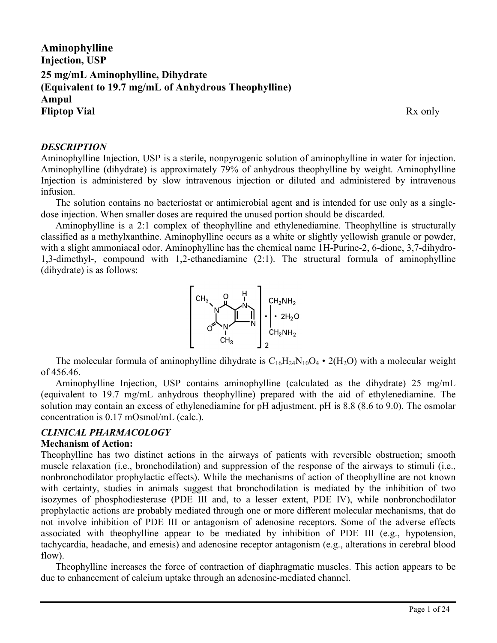**Aminophylline Injection, USP 25 mg/mL Aminophylline, Dihydrate (Equivalent to 19.7 mg/mL of Anhydrous Theophylline) Ampul Fliptop Vial** Rx only

#### *DESCRIPTION*

Aminophylline Injection, USP is a sterile, nonpyrogenic solution of aminophylline in water for injection. Aminophylline (dihydrate) is approximately 79% of anhydrous theophylline by weight. Aminophylline Injection is administered by slow intravenous injection or diluted and administered by intravenous infusion.

The solution contains no bacteriostat or antimicrobial agent and is intended for use only as a singledose injection. When smaller doses are required the unused portion should be discarded.

Aminophylline is a 2:1 complex of theophylline and ethylenediamine. Theophylline is structurally classified as a methylxanthine. Aminophylline occurs as a white or slightly yellowish granule or powder, with a slight ammoniacal odor. Aminophylline has the chemical name 1H-Purine-2, 6-dione, 3,7-dihydro-1,3-dimethyl-, compound with 1,2-ethanediamine (2:1). The structural formula of aminophylline (dihydrate) is as follows:

The molecular formula of aminophylline dihydrate is  $C_{16}H_{24}N_{10}O_4 \cdot 2(H_2O)$  with a molecular weight of 456.46.

Aminophylline Injection, USP contains aminophylline (calculated as the dihydrate) 25 mg/mL (equivalent to 19.7 mg/mL anhydrous theophylline) prepared with the aid of ethylenediamine. The solution may contain an excess of ethylenediamine for pH adjustment. pH is 8.8 (8.6 to 9.0). The osmolar concentration is 0.17 mOsmol/mL (calc.).

# *CLINICAL PHARMACOLOGY*

### **Mechanism of Action:**

Theophylline has two distinct actions in the airways of patients with reversible obstruction; smooth muscle relaxation (i.e., bronchodilation) and suppression of the response of the airways to stimuli (i.e., nonbronchodilator prophylactic effects). While the mechanisms of action of theophylline are not known with certainty, studies in animals suggest that bronchodilation is mediated by the inhibition of two isozymes of phosphodiesterase (PDE III and, to a lesser extent, PDE IV), while nonbronchodilator prophylactic actions are probably mediated through one or more different molecular mechanisms, that do not involve inhibition of PDE III or antagonism of adenosine receptors. Some of the adverse effects associated with theophylline appear to be mediated by inhibition of PDE III (e.g., hypotension, tachycardia, headache, and emesis) and adenosine receptor antagonism (e.g., alterations in cerebral blood flow).

Theophylline increases the force of contraction of diaphragmatic muscles. This action appears to be due to enhancement of calcium uptake through an adenosine-mediated channel.

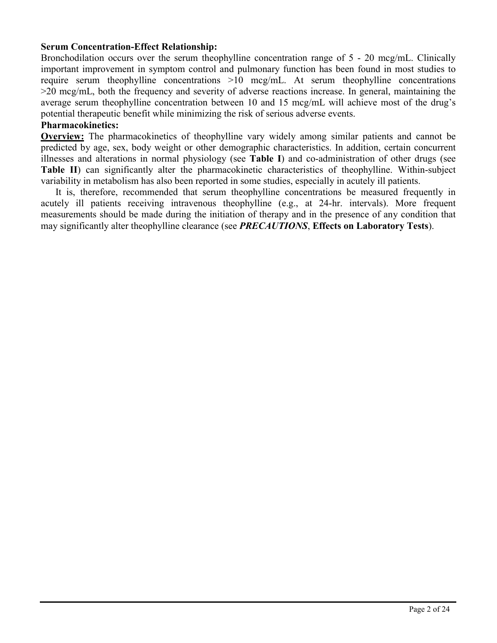### **Serum Concentration-Effect Relationship:**

Bronchodilation occurs over the serum theophylline concentration range of 5 - 20 mcg/mL. Clinically important improvement in symptom control and pulmonary function has been found in most studies to require serum theophylline concentrations >10 mcg/mL. At serum theophylline concentrations >20 mcg/mL, both the frequency and severity of adverse reactions increase. In general, maintaining the average serum theophylline concentration between 10 and 15 mcg/mL will achieve most of the drug's potential therapeutic benefit while minimizing the risk of serious adverse events.

### **Pharmacokinetics:**

**Overview:** The pharmacokinetics of theophylline vary widely among similar patients and cannot be predicted by age, sex, body weight or other demographic characteristics. In addition, certain concurrent illnesses and alterations in normal physiology (see **Table I**) and co-administration of other drugs (see **Table II**) can significantly alter the pharmacokinetic characteristics of theophylline. Within-subject variability in metabolism has also been reported in some studies, especially in acutely ill patients.

It is, therefore, recommended that serum theophylline concentrations be measured frequently in acutely ill patients receiving intravenous theophylline (e.g., at 24-hr. intervals). More frequent measurements should be made during the initiation of therapy and in the presence of any condition that may significantly alter theophylline clearance (see *PRECAUTIONS*, **Effects on Laboratory Tests**).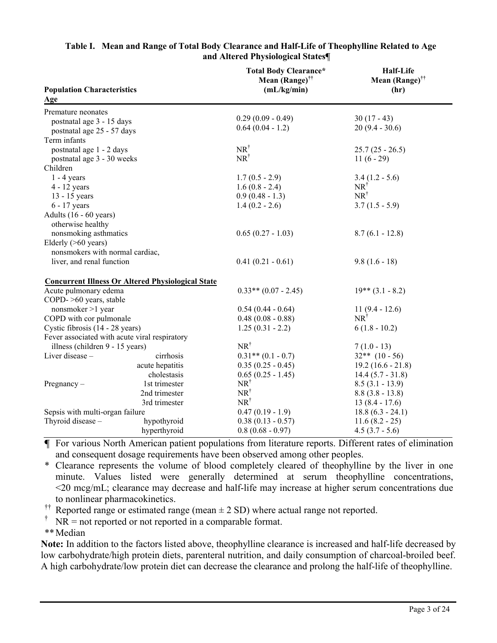| <b>Population Characteristics</b><br><b>Age</b> |                                                          | <b>Total Body Clearance*</b><br>Mean $(Range)^{\dagger\dagger}$<br>(mL/kg/min) | <b>Half-Life</b><br>Mean (Range) <sup>††</sup><br>(hr) |  |
|-------------------------------------------------|----------------------------------------------------------|--------------------------------------------------------------------------------|--------------------------------------------------------|--|
| Premature neonates                              |                                                          |                                                                                |                                                        |  |
| postnatal age 3 - 15 days                       |                                                          | $0.29(0.09 - 0.49)$                                                            | $30(17-43)$                                            |  |
| postnatal age 25 - 57 days                      |                                                          | $0.64(0.04 - 1.2)$                                                             | $20(9.4 - 30.6)$                                       |  |
| Term infants                                    |                                                          |                                                                                |                                                        |  |
| postnatal age 1 - 2 days                        |                                                          | $NR^{\dagger}$                                                                 | $25.7(25 - 26.5)$                                      |  |
| postnatal age 3 - 30 weeks                      |                                                          | $NR^{\dagger}$                                                                 | $11(6-29)$                                             |  |
| Children                                        |                                                          |                                                                                |                                                        |  |
| $1 - 4$ years                                   |                                                          | $1.7(0.5 - 2.9)$                                                               | $3.4(1.2 - 5.6)$                                       |  |
| $4 - 12$ years                                  |                                                          | $1.6(0.8 - 2.4)$                                                               | $NR^{\dagger}$                                         |  |
| 13 - 15 years                                   |                                                          | $0.9(0.48 - 1.3)$                                                              | $NR^{\dagger}$                                         |  |
| 6 - 17 years                                    |                                                          | $1.4(0.2 - 2.6)$                                                               | $3.7(1.5 - 5.9)$                                       |  |
| Adults $(16 - 60 \text{ years})$                |                                                          |                                                                                |                                                        |  |
| otherwise healthy                               |                                                          |                                                                                |                                                        |  |
| nonsmoking asthmatics                           |                                                          | $0.65(0.27 - 1.03)$                                                            | $8.7(6.1 - 12.8)$                                      |  |
| Elderly $($ >60 years)                          |                                                          |                                                                                |                                                        |  |
| nonsmokers with normal cardiac,                 |                                                          |                                                                                |                                                        |  |
| liver, and renal function                       |                                                          | $0.41(0.21 - 0.61)$                                                            | $9.8(1.6 - 18)$                                        |  |
|                                                 | <b>Concurrent Illness Or Altered Physiological State</b> |                                                                                |                                                        |  |
| Acute pulmonary edema                           |                                                          | $0.33**$ (0.07 - 2.45)                                                         | $19**$ (3.1 - 8.2)                                     |  |
| COPD->60 years, stable                          |                                                          |                                                                                |                                                        |  |
| nonsmoker >1 year                               |                                                          | $0.54(0.44 - 0.64)$                                                            | $11(9.4 - 12.6)$                                       |  |
| COPD with cor pulmonale                         |                                                          | $0.48(0.08 - 0.88)$                                                            | $NR^{\dagger}$                                         |  |
| Cystic fibrosis (14 - 28 years)                 |                                                          | $1.25(0.31 - 2.2)$                                                             | $6(1.8 - 10.2)$                                        |  |
|                                                 | Fever associated with acute viral respiratory            |                                                                                |                                                        |  |
| illness (children 9 - 15 years)                 |                                                          | $NR^{\dagger}$                                                                 | $7(1.0 - 13)$                                          |  |
| Liver disease -                                 | cirrhosis                                                | $0.31**$ (0.1 - 0.7)                                                           | $32**$ (10 - 56)                                       |  |
|                                                 | acute hepatitis                                          | $0.35(0.25 - 0.45)$                                                            | $19.2(16.6 - 21.8)$                                    |  |
|                                                 | cholestasis                                              | $0.65(0.25 - 1.45)$                                                            | $14.4(5.7 - 31.8)$                                     |  |
| $P$ regnancy –                                  | 1st trimester                                            | $NR^{\dagger}$                                                                 | $8.5(3.1 - 13.9)$                                      |  |
|                                                 | 2nd trimester                                            | $NR^{\dagger}$                                                                 | $8.8(3.8 - 13.8)$                                      |  |
|                                                 | 3rd trimester                                            | $NR^{\dagger}$                                                                 | $13(8.4 - 17.6)$                                       |  |
| Sepsis with multi-organ failure                 |                                                          | $0.47(0.19 - 1.9)$                                                             | $18.8(6.3 - 24.1)$                                     |  |
| Thyroid disease -                               | hypothyroid                                              | $0.38(0.13 - 0.57)$                                                            | $11.6(8.2 - 25)$                                       |  |
|                                                 | hyperthyroid                                             | $0.8(0.68 - 0.97)$                                                             | $4.5(3.7 - 5.6)$                                       |  |

### **Table I. Mean and Range of Total Body Clearance and Half-Life of Theophylline Related to Age and Altered Physiological States¶**

**¶** For various North American patient populations from literature reports. Different rates of elimination and consequent dosage requirements have been observed among other peoples.

\* Clearance represents the volume of blood completely cleared of theophylline by the liver in one minute. Values listed were generally determined at serum theophylline concentrations, <20 mcg/mL; clearance may decrease and half-life may increase at higher serum concentrations due to nonlinear pharmacokinetics.

<sup>††</sup> Reported range or estimated range (mean  $\pm$  2 SD) where actual range not reported.<br>
<sup>†</sup> NR = not reported or not reported in a comparable format

 $NR = not reported or not reported in a comparable format.$ 

\*\*Median

**Note:** In addition to the factors listed above, theophylline clearance is increased and half-life decreased by low carbohydrate/high protein diets, parenteral nutrition, and daily consumption of charcoal-broiled beef. A high carbohydrate/low protein diet can decrease the clearance and prolong the half-life of theophylline.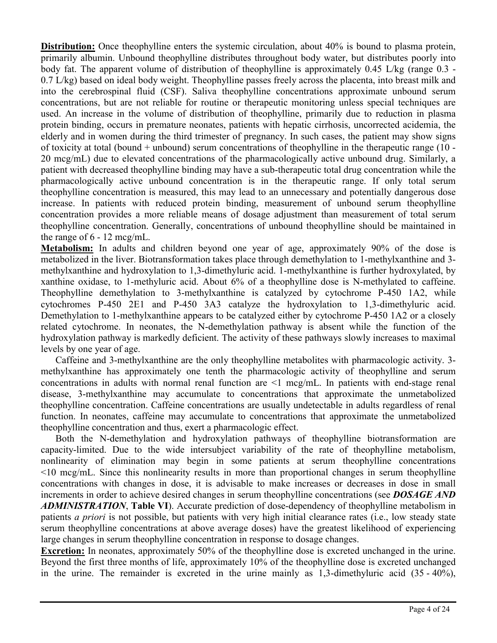**Distribution:** Once theophylline enters the systemic circulation, about 40% is bound to plasma protein, primarily albumin. Unbound theophylline distributes throughout body water, but distributes poorly into body fat. The apparent volume of distribution of theophylline is approximately 0.45 L/kg (range 0.3 -0.7 L/kg) based on ideal body weight. Theophylline passes freely across the placenta, into breast milk and into the cerebrospinal fluid (CSF). Saliva theophylline concentrations approximate unbound serum concentrations, but are not reliable for routine or therapeutic monitoring unless special techniques are used. An increase in the volume of distribution of theophylline, primarily due to reduction in plasma protein binding, occurs in premature neonates, patients with hepatic cirrhosis, uncorrected acidemia, the elderly and in women during the third trimester of pregnancy. In such cases, the patient may show signs of toxicity at total (bound + unbound) serum concentrations of theophylline in the therapeutic range (10 - 20 mcg/mL) due to elevated concentrations of the pharmacologically active unbound drug. Similarly, a patient with decreased theophylline binding may have a sub-therapeutic total drug concentration while the pharmacologically active unbound concentration is in the therapeutic range. If only total serum theophylline concentration is measured, this may lead to an unnecessary and potentially dangerous dose increase. In patients with reduced protein binding, measurement of unbound serum theophylline concentration provides a more reliable means of dosage adjustment than measurement of total serum theophylline concentration. Generally, concentrations of unbound theophylline should be maintained in the range of 6 - 12 mcg/mL.

**Metabolism:** In adults and children beyond one year of age, approximately 90% of the dose is metabolized in the liver. Biotransformation takes place through demethylation to 1-methylxanthine and 3 methylxanthine and hydroxylation to 1,3-dimethyluric acid. 1-methylxanthine is further hydroxylated, by xanthine oxidase, to 1-methyluric acid. About 6% of a theophylline dose is N-methylated to caffeine. Theophylline demethylation to 3-methylxanthine is catalyzed by cytochrome P-450 1A2, while cytochromes P-450 2E1 and P-450 3A3 catalyze the hydroxylation to 1,3-dimethyluric acid. Demethylation to 1-methylxanthine appears to be catalyzed either by cytochrome P-450 1A2 or a closely related cytochrome. In neonates, the N-demethylation pathway is absent while the function of the hydroxylation pathway is markedly deficient. The activity of these pathways slowly increases to maximal levels by one year of age.

Caffeine and 3-methylxanthine are the only theophylline metabolites with pharmacologic activity. 3 methylxanthine has approximately one tenth the pharmacologic activity of theophylline and serum concentrations in adults with normal renal function are <1 mcg/mL. In patients with end-stage renal disease, 3-methylxanthine may accumulate to concentrations that approximate the unmetabolized theophylline concentration. Caffeine concentrations are usually undetectable in adults regardless of renal function. In neonates, caffeine may accumulate to concentrations that approximate the unmetabolized theophylline concentration and thus, exert a pharmacologic effect.

Both the N-demethylation and hydroxylation pathways of theophylline biotransformation are capacity-limited. Due to the wide intersubject variability of the rate of theophylline metabolism, nonlinearity of elimination may begin in some patients at serum theophylline concentrations <10 mcg/mL. Since this nonlinearity results in more than proportional changes in serum theophylline concentrations with changes in dose, it is advisable to make increases or decreases in dose in small increments in order to achieve desired changes in serum theophylline concentrations (see *DOSAGE AND ADMINISTRATION*, **Table VI**). Accurate prediction of dose-dependency of theophylline metabolism in patients *a priori* is not possible, but patients with very high initial clearance rates (i.e., low steady state serum theophylline concentrations at above average doses) have the greatest likelihood of experiencing large changes in serum theophylline concentration in response to dosage changes.

**Excretion:** In neonates, approximately 50% of the theophylline dose is excreted unchanged in the urine. Beyond the first three months of life, approximately 10% of the theophylline dose is excreted unchanged in the urine. The remainder is excreted in the urine mainly as 1,3-dimethyluric acid (35 - 40%),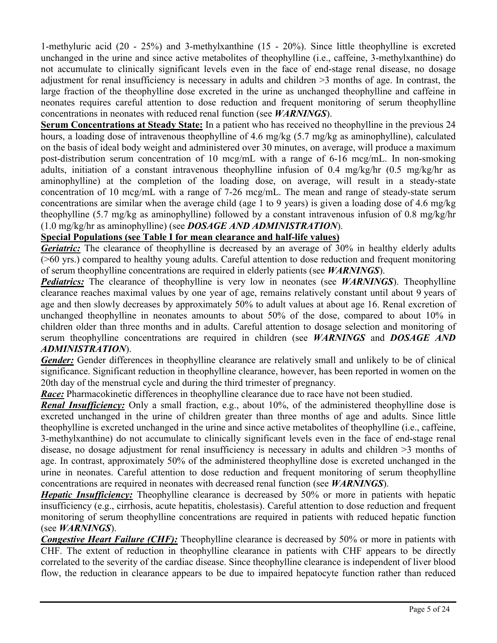1-methyluric acid (20 - 25%) and 3-methylxanthine (15 - 20%). Since little theophylline is excreted unchanged in the urine and since active metabolites of theophylline (i.e., caffeine, 3-methylxanthine) do not accumulate to clinically significant levels even in the face of end-stage renal disease, no dosage adjustment for renal insufficiency is necessary in adults and children >3 months of age. In contrast, the large fraction of the theophylline dose excreted in the urine as unchanged theophylline and caffeine in neonates requires careful attention to dose reduction and frequent monitoring of serum theophylline concentrations in neonates with reduced renal function (see *WARNINGS*).

**Serum Concentrations at Steady State:** In a patient who has received no theophylline in the previous 24 hours, a loading dose of intravenous theophylline of 4.6 mg/kg (5.7 mg/kg as aminophylline), calculated on the basis of ideal body weight and administered over 30 minutes, on average, will produce a maximum post-distribution serum concentration of 10 mcg/mL with a range of 6-16 mcg/mL. In non-smoking adults, initiation of a constant intravenous theophylline infusion of 0.4 mg/kg/hr (0.5 mg/kg/hr as aminophylline) at the completion of the loading dose, on average, will result in a steady-state concentration of 10 mcg/mL with a range of 7-26 mcg/mL. The mean and range of steady-state serum concentrations are similar when the average child (age 1 to 9 years) is given a loading dose of 4.6 mg/kg theophylline (5.7 mg/kg as aminophylline) followed by a constant intravenous infusion of 0.8 mg/kg/hr (1.0 mg/kg/hr as aminophylline) (see *DOSAGE AND ADMINISTRATION*).

# **Special Populations (see Table I for mean clearance and half-life values)**

*Geriatric:* The clearance of theophylline is decreased by an average of 30% in healthy elderly adults (>60 yrs.) compared to healthy young adults. Careful attention to dose reduction and frequent monitoring of serum theophylline concentrations are required in elderly patients (see *WARNINGS*).

*Pediatrics:* The clearance of theophylline is very low in neonates (see *WARNINGS*). Theophylline clearance reaches maximal values by one year of age, remains relatively constant until about 9 years of age and then slowly decreases by approximately 50% to adult values at about age 16. Renal excretion of unchanged theophylline in neonates amounts to about 50% of the dose, compared to about 10% in children older than three months and in adults. Careful attention to dosage selection and monitoring of serum theophylline concentrations are required in children (see *WARNINGS* and *DOSAGE AND ADMINISTRATION*).

### *Gender:* Gender differences in theophylline clearance are relatively small and unlikely to be of clinical significance. Significant reduction in theophylline clearance, however, has been reported in women on the 20th day of the menstrual cycle and during the third trimester of pregnancy.

*Race:* Pharmacokinetic differences in theophylline clearance due to race have not been studied.

*Renal Insufficiency:* Only a small fraction, e.g., about 10%, of the administered theophylline dose is excreted unchanged in the urine of children greater than three months of age and adults. Since little theophylline is excreted unchanged in the urine and since active metabolites of theophylline (i.e., caffeine, 3-methylxanthine) do not accumulate to clinically significant levels even in the face of end-stage renal disease, no dosage adjustment for renal insufficiency is necessary in adults and children >3 months of age. In contrast, approximately 50% of the administered theophylline dose is excreted unchanged in the urine in neonates. Careful attention to dose reduction and frequent monitoring of serum theophylline concentrations are required in neonates with decreased renal function (see *WARNINGS*).

*Hepatic Insufficiency:* Theophylline clearance is decreased by 50% or more in patients with hepatic insufficiency (e.g., cirrhosis, acute hepatitis, cholestasis). Careful attention to dose reduction and frequent monitoring of serum theophylline concentrations are required in patients with reduced hepatic function (see *WARNINGS*).

*Congestive Heart Failure (CHF):* Theophylline clearance is decreased by 50% or more in patients with CHF. The extent of reduction in theophylline clearance in patients with CHF appears to be directly correlated to the severity of the cardiac disease. Since theophylline clearance is independent of liver blood flow, the reduction in clearance appears to be due to impaired hepatocyte function rather than reduced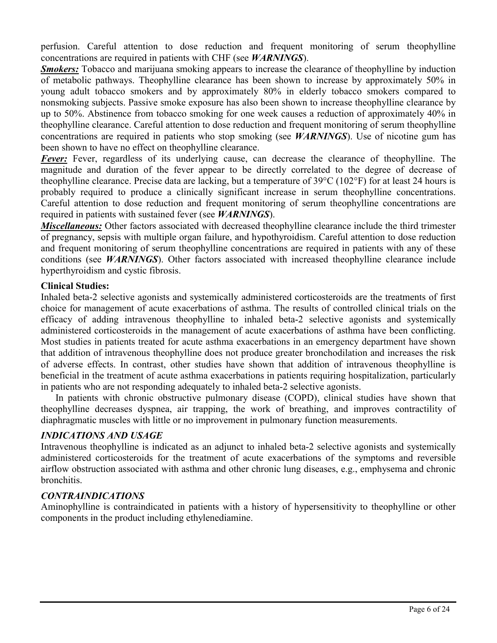perfusion. Careful attention to dose reduction and frequent monitoring of serum theophylline concentrations are required in patients with CHF (see *WARNINGS*).

**Smokers:** Tobacco and marijuana smoking appears to increase the clearance of theophylline by induction of metabolic pathways. Theophylline clearance has been shown to increase by approximately 50% in young adult tobacco smokers and by approximately 80% in elderly tobacco smokers compared to nonsmoking subjects. Passive smoke exposure has also been shown to increase theophylline clearance by up to 50%. Abstinence from tobacco smoking for one week causes a reduction of approximately 40% in theophylline clearance. Careful attention to dose reduction and frequent monitoring of serum theophylline concentrations are required in patients who stop smoking (see *WARNINGS*). Use of nicotine gum has been shown to have no effect on theophylline clearance.

*Fever:* Fever, regardless of its underlying cause, can decrease the clearance of theophylline. The magnitude and duration of the fever appear to be directly correlated to the degree of decrease of theophylline clearance. Precise data are lacking, but a temperature of 39°C (102°F) for at least 24 hours is probably required to produce a clinically significant increase in serum theophylline concentrations. Careful attention to dose reduction and frequent monitoring of serum theophylline concentrations are required in patients with sustained fever (see *WARNINGS*).

*Miscellaneous:* Other factors associated with decreased theophylline clearance include the third trimester of pregnancy, sepsis with multiple organ failure, and hypothyroidism. Careful attention to dose reduction and frequent monitoring of serum theophylline concentrations are required in patients with any of these conditions (see *WARNINGS*). Other factors associated with increased theophylline clearance include hyperthyroidism and cystic fibrosis.

# **Clinical Studies:**

Inhaled beta-2 selective agonists and systemically administered corticosteroids are the treatments of first choice for management of acute exacerbations of asthma. The results of controlled clinical trials on the efficacy of adding intravenous theophylline to inhaled beta-2 selective agonists and systemically administered corticosteroids in the management of acute exacerbations of asthma have been conflicting. Most studies in patients treated for acute asthma exacerbations in an emergency department have shown that addition of intravenous theophylline does not produce greater bronchodilation and increases the risk of adverse effects. In contrast, other studies have shown that addition of intravenous theophylline is beneficial in the treatment of acute asthma exacerbations in patients requiring hospitalization, particularly in patients who are not responding adequately to inhaled beta-2 selective agonists.

In patients with chronic obstructive pulmonary disease (COPD), clinical studies have shown that theophylline decreases dyspnea, air trapping, the work of breathing, and improves contractility of diaphragmatic muscles with little or no improvement in pulmonary function measurements.

# *INDICATIONS AND USAGE*

Intravenous theophylline is indicated as an adjunct to inhaled beta-2 selective agonists and systemically administered corticosteroids for the treatment of acute exacerbations of the symptoms and reversible airflow obstruction associated with asthma and other chronic lung diseases, e.g., emphysema and chronic bronchitis.

# *CONTRAINDICATIONS*

Aminophylline is contraindicated in patients with a history of hypersensitivity to theophylline or other components in the product including ethylenediamine.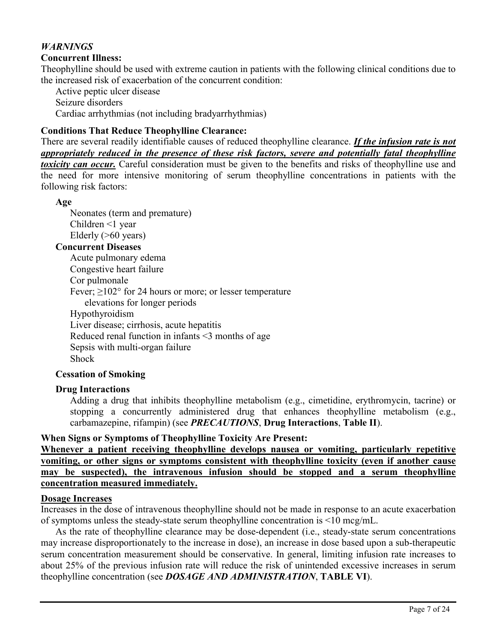# *WARNINGS*

### **Concurrent Illness:**

Theophylline should be used with extreme caution in patients with the following clinical conditions due to the increased risk of exacerbation of the concurrent condition:

Active peptic ulcer disease Seizure disorders Cardiac arrhythmias (not including bradyarrhythmias)

# **Conditions That Reduce Theophylline Clearance:**

There are several readily identifiable causes of reduced theophylline clearance. *If the infusion rate is not appropriately reduced in the presence of these risk factors, severe and potentially fatal theophylline toxicity can occur.* Careful consideration must be given to the benefits and risks of theophylline use and the need for more intensive monitoring of serum theophylline concentrations in patients with the following risk factors:

# **Age**

# Neonates (term and premature) Children <1 year

Elderly (>60 years)

# **Concurrent Diseases**

Acute pulmonary edema Congestive heart failure Cor pulmonale Fever;  $\geq 102^{\circ}$  for 24 hours or more; or lesser temperature elevations for longer periods Hypothyroidism Liver disease; cirrhosis, acute hepatitis Reduced renal function in infants <3 months of age Sepsis with multi-organ failure Shock

### **Cessation of Smoking**

### **Drug Interactions**

Adding a drug that inhibits theophylline metabolism (e.g., cimetidine, erythromycin, tacrine) or stopping a concurrently administered drug that enhances theophylline metabolism (e.g., carbamazepine, rifampin) (see *PRECAUTIONS*, **Drug Interactions**, **Table II**).

### **When Signs or Symptoms of Theophylline Toxicity Are Present:**

**Whenever a patient receiving theophylline develops nausea or vomiting, particularly repetitive vomiting, or other signs or symptoms consistent with theophylline toxicity (even if another cause may be suspected), the intravenous infusion should be stopped and a serum theophylline concentration measured immediately.**

### **Dosage Increases**

Increases in the dose of intravenous theophylline should not be made in response to an acute exacerbation of symptoms unless the steady-state serum theophylline concentration is <10 mcg/mL.

As the rate of theophylline clearance may be dose-dependent (i.e., steady-state serum concentrations may increase disproportionately to the increase in dose), an increase in dose based upon a sub-therapeutic serum concentration measurement should be conservative. In general, limiting infusion rate increases to about 25% of the previous infusion rate will reduce the risk of unintended excessive increases in serum theophylline concentration (see *DOSAGE AND ADMINISTRATION*, **TABLE VI**).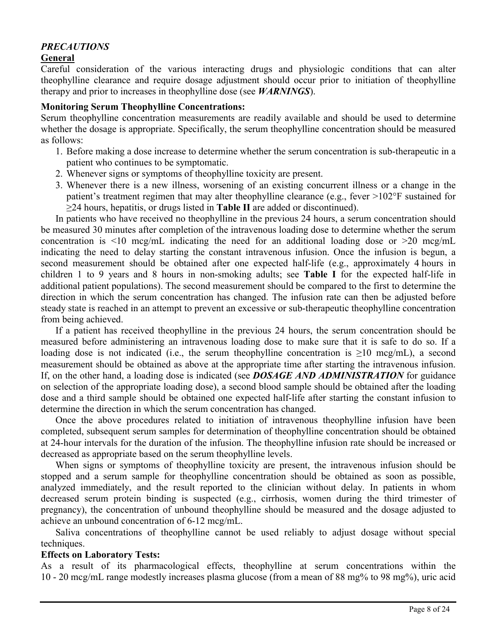# *PRECAUTIONS*

# **General**

Careful consideration of the various interacting drugs and physiologic conditions that can alter theophylline clearance and require dosage adjustment should occur prior to initiation of theophylline therapy and prior to increases in theophylline dose (see *WARNINGS*).

### **Monitoring Serum Theophylline Concentrations:**

Serum theophylline concentration measurements are readily available and should be used to determine whether the dosage is appropriate. Specifically, the serum theophylline concentration should be measured as follows:

- 1. Before making a dose increase to determine whether the serum concentration is sub-therapeutic in a patient who continues to be symptomatic.
- 2. Whenever signs or symptoms of theophylline toxicity are present.
- 3. Whenever there is a new illness, worsening of an existing concurrent illness or a change in the patient's treatment regimen that may alter theophylline clearance (e.g., fever >102°F sustained for ≥24 hours, hepatitis, or drugs listed in **Table II** are added or discontinued).

In patients who have received no theophylline in the previous 24 hours, a serum concentration should be measured 30 minutes after completion of the intravenous loading dose to determine whether the serum concentration is <10 mcg/mL indicating the need for an additional loading dose or >20 mcg/mL indicating the need to delay starting the constant intravenous infusion. Once the infusion is begun, a second measurement should be obtained after one expected half-life (e.g., approximately 4 hours in children 1 to 9 years and 8 hours in non-smoking adults; see **Table I** for the expected half-life in additional patient populations). The second measurement should be compared to the first to determine the direction in which the serum concentration has changed. The infusion rate can then be adjusted before steady state is reached in an attempt to prevent an excessive or sub-therapeutic theophylline concentration from being achieved.

If a patient has received theophylline in the previous 24 hours, the serum concentration should be measured before administering an intravenous loading dose to make sure that it is safe to do so. If a loading dose is not indicated (i.e., the serum theophylline concentration is  $\geq 10$  mcg/mL), a second measurement should be obtained as above at the appropriate time after starting the intravenous infusion. If, on the other hand, a loading dose is indicated (see *DOSAGE AND ADMINISTRATION* for guidance on selection of the appropriate loading dose), a second blood sample should be obtained after the loading dose and a third sample should be obtained one expected half-life after starting the constant infusion to determine the direction in which the serum concentration has changed.

Once the above procedures related to initiation of intravenous theophylline infusion have been completed, subsequent serum samples for determination of theophylline concentration should be obtained at 24-hour intervals for the duration of the infusion. The theophylline infusion rate should be increased or decreased as appropriate based on the serum theophylline levels.

When signs or symptoms of theophylline toxicity are present, the intravenous infusion should be stopped and a serum sample for theophylline concentration should be obtained as soon as possible, analyzed immediately, and the result reported to the clinician without delay. In patients in whom decreased serum protein binding is suspected (e.g., cirrhosis, women during the third trimester of pregnancy), the concentration of unbound theophylline should be measured and the dosage adjusted to achieve an unbound concentration of 6-12 mcg/mL.

Saliva concentrations of theophylline cannot be used reliably to adjust dosage without special techniques.

### **Effects on Laboratory Tests:**

As a result of its pharmacological effects, theophylline at serum concentrations within the 10 - 20 mcg/mL range modestly increases plasma glucose (from a mean of 88 mg% to 98 mg%), uric acid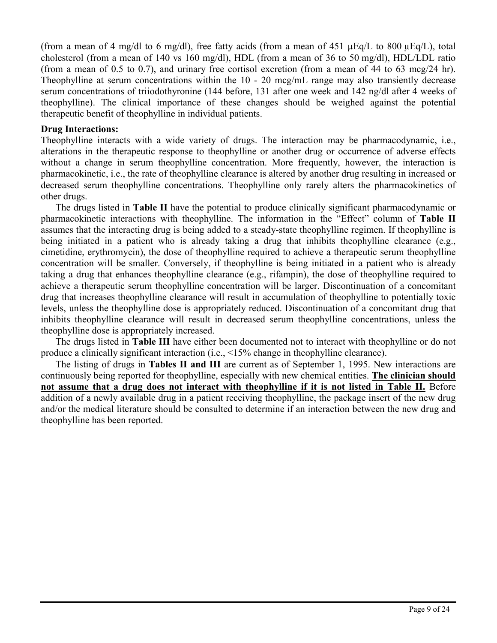(from a mean of 4 mg/dl to 6 mg/dl), free fatty acids (from a mean of 451  $\mu$ Eq/L to 800  $\mu$ Eq/L), total cholesterol (from a mean of 140 vs 160 mg/dl), HDL (from a mean of 36 to 50 mg/dl), HDL/LDL ratio (from a mean of 0.5 to 0.7), and urinary free cortisol excretion (from a mean of 44 to 63 mcg/24 hr). Theophylline at serum concentrations within the 10 - 20 mcg/mL range may also transiently decrease serum concentrations of triiodothyronine (144 before, 131 after one week and 142 ng/dl after 4 weeks of theophylline). The clinical importance of these changes should be weighed against the potential therapeutic benefit of theophylline in individual patients.

### **Drug Interactions:**

Theophylline interacts with a wide variety of drugs. The interaction may be pharmacodynamic, i.e., alterations in the therapeutic response to theophylline or another drug or occurrence of adverse effects without a change in serum theophylline concentration. More frequently, however, the interaction is pharmacokinetic, i.e., the rate of theophylline clearance is altered by another drug resulting in increased or decreased serum theophylline concentrations. Theophylline only rarely alters the pharmacokinetics of other drugs.

The drugs listed in **Table II** have the potential to produce clinically significant pharmacodynamic or pharmacokinetic interactions with theophylline. The information in the "Effect" column of **Table II** assumes that the interacting drug is being added to a steady-state theophylline regimen. If theophylline is being initiated in a patient who is already taking a drug that inhibits theophylline clearance (e.g., cimetidine, erythromycin), the dose of theophylline required to achieve a therapeutic serum theophylline concentration will be smaller. Conversely, if theophylline is being initiated in a patient who is already taking a drug that enhances theophylline clearance (e.g., rifampin), the dose of theophylline required to achieve a therapeutic serum theophylline concentration will be larger. Discontinuation of a concomitant drug that increases theophylline clearance will result in accumulation of theophylline to potentially toxic levels, unless the theophylline dose is appropriately reduced. Discontinuation of a concomitant drug that inhibits theophylline clearance will result in decreased serum theophylline concentrations, unless the theophylline dose is appropriately increased.

The drugs listed in **Table III** have either been documented not to interact with theophylline or do not produce a clinically significant interaction (i.e., <15% change in theophylline clearance).

The listing of drugs in **Tables II and III** are current as of September 1, 1995. New interactions are continuously being reported for theophylline, especially with new chemical entities. **The clinician should not assume that a drug does not interact with theophylline if it is not listed in Table II.** Before addition of a newly available drug in a patient receiving theophylline, the package insert of the new drug and/or the medical literature should be consulted to determine if an interaction between the new drug and theophylline has been reported.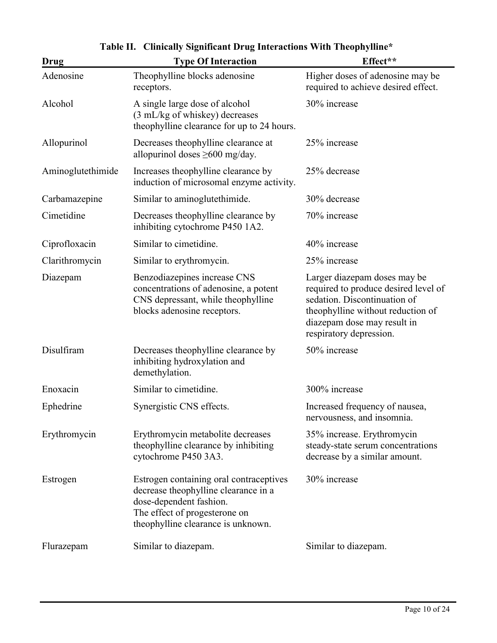| <b>Drug</b>       | <b>Type Of Interaction</b>                                                                                                                                                        | Effect**                                                                                                                                                                                            |
|-------------------|-----------------------------------------------------------------------------------------------------------------------------------------------------------------------------------|-----------------------------------------------------------------------------------------------------------------------------------------------------------------------------------------------------|
| Adenosine         | Theophylline blocks adenosine<br>receptors.                                                                                                                                       | Higher doses of adenosine may be<br>required to achieve desired effect.                                                                                                                             |
| Alcohol           | A single large dose of alcohol<br>(3 mL/kg of whiskey) decreases<br>theophylline clearance for up to 24 hours.                                                                    | 30% increase                                                                                                                                                                                        |
| Allopurinol       | Decreases theophylline clearance at<br>allopurinol doses $\geq 600$ mg/day.                                                                                                       | 25% increase                                                                                                                                                                                        |
| Aminoglutethimide | Increases theophylline clearance by<br>induction of microsomal enzyme activity.                                                                                                   | 25% decrease                                                                                                                                                                                        |
| Carbamazepine     | Similar to aminoglute thimide.                                                                                                                                                    | 30% decrease                                                                                                                                                                                        |
| Cimetidine        | Decreases theophylline clearance by<br>inhibiting cytochrome P450 1A2.                                                                                                            | 70% increase                                                                                                                                                                                        |
| Ciprofloxacin     | Similar to cimetidine.                                                                                                                                                            | 40% increase                                                                                                                                                                                        |
| Clarithromycin    | Similar to erythromycin.                                                                                                                                                          | 25% increase                                                                                                                                                                                        |
| Diazepam          | Benzodiazepines increase CNS<br>concentrations of adenosine, a potent<br>CNS depressant, while theophylline<br>blocks adenosine receptors.                                        | Larger diazepam doses may be<br>required to produce desired level of<br>sedation. Discontinuation of<br>theophylline without reduction of<br>diazepam dose may result in<br>respiratory depression. |
| Disulfiram        | Decreases theophylline clearance by<br>inhibiting hydroxylation and<br>demethylation.                                                                                             | 50% increase                                                                                                                                                                                        |
| Enoxacin          | Similar to cimetidine.                                                                                                                                                            | 300% increase                                                                                                                                                                                       |
| Ephedrine         | Synergistic CNS effects.                                                                                                                                                          | Increased frequency of nausea,<br>nervousness, and insomnia.                                                                                                                                        |
| Erythromycin      | Erythromycin metabolite decreases<br>theophylline clearance by inhibiting<br>cytochrome P450 3A3.                                                                                 | 35% increase. Erythromycin<br>steady-state serum concentrations<br>decrease by a similar amount.                                                                                                    |
| Estrogen          | Estrogen containing oral contraceptives<br>decrease theophylline clearance in a<br>dose-dependent fashion.<br>The effect of progesterone on<br>theophylline clearance is unknown. | 30% increase                                                                                                                                                                                        |
| Flurazepam        | Similar to diazepam.                                                                                                                                                              | Similar to diazepam.                                                                                                                                                                                |

# **Table II. Clinically Significant Drug Interactions With Theophylline\***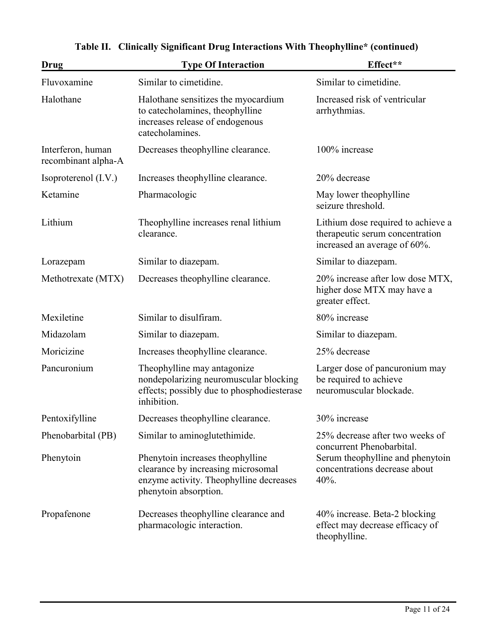| <b>Drug</b>                              | <b>Type Of Interaction</b>                                                                                                                 | Effect**                                                                                                  |
|------------------------------------------|--------------------------------------------------------------------------------------------------------------------------------------------|-----------------------------------------------------------------------------------------------------------|
| Fluvoxamine                              | Similar to cimetidine.                                                                                                                     | Similar to cimetidine.                                                                                    |
| Halothane                                | Halothane sensitizes the myocardium<br>to catecholamines, theophylline<br>increases release of endogenous<br>catecholamines.               | Increased risk of ventricular<br>arrhythmias.                                                             |
| Interferon, human<br>recombinant alpha-A | Decreases theophylline clearance.                                                                                                          | 100% increase                                                                                             |
| Isoproterenol (I.V.)                     | Increases theophylline clearance.                                                                                                          | 20% decrease                                                                                              |
| Ketamine                                 | Pharmacologic                                                                                                                              | May lower theophylline<br>seizure threshold.                                                              |
| Lithium                                  | Theophylline increases renal lithium<br>clearance.                                                                                         | Lithium dose required to achieve a<br>therapeutic serum concentration<br>increased an average of 60%.     |
| Lorazepam                                | Similar to diazepam.                                                                                                                       | Similar to diazepam.                                                                                      |
| Methotrexate (MTX)                       | Decreases theophylline clearance.                                                                                                          | 20% increase after low dose MTX,<br>higher dose MTX may have a<br>greater effect.                         |
| Mexiletine                               | Similar to disulfiram.                                                                                                                     | 80% increase                                                                                              |
| Midazolam                                | Similar to diazepam.                                                                                                                       | Similar to diazepam.                                                                                      |
| Moricizine                               | Increases theophylline clearance.                                                                                                          | 25% decrease                                                                                              |
| Pancuronium                              | Theophylline may antagonize<br>nondepolarizing neuromuscular blocking<br>effects; possibly due to phosphodiesterase<br>inhibition.         | Larger dose of pancuronium may<br>be required to achieve<br>neuromuscular blockade.                       |
| Pentoxifylline                           | Decreases theophylline clearance.                                                                                                          | 30% increase                                                                                              |
| Phenobarbital (PB)                       | Similar to aminoglutethimide.                                                                                                              | 25% decrease after two weeks of                                                                           |
| Phenytoin                                | Phenytoin increases theophylline<br>clearance by increasing microsomal<br>enzyme activity. Theophylline decreases<br>phenytoin absorption. | concurrent Phenobarbital.<br>Serum theophylline and phenytoin<br>concentrations decrease about<br>$40%$ . |
| Propafenone                              | Decreases theophylline clearance and<br>pharmacologic interaction.                                                                         | 40% increase. Beta-2 blocking<br>effect may decrease efficacy of<br>theophylline.                         |

# **Table II. Clinically Significant Drug Interactions With Theophylline\* (continued)**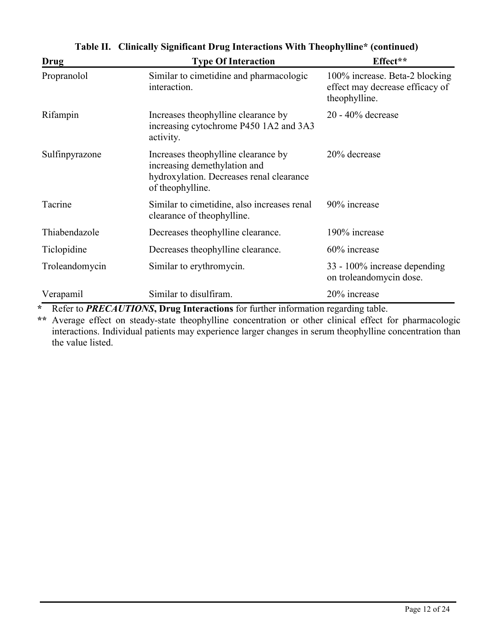| Drug           | <b>Type Of Interaction</b>                                                                                                          | Effect**                                                                           |
|----------------|-------------------------------------------------------------------------------------------------------------------------------------|------------------------------------------------------------------------------------|
| Propranolol    | Similar to cimetidine and pharmacologic<br>interaction.                                                                             | 100% increase. Beta-2 blocking<br>effect may decrease efficacy of<br>theophylline. |
| Rifampin       | Increases theophylline clearance by<br>increasing cytochrome P450 1A2 and 3A3<br>activity.                                          | $20 - 40\%$ decrease                                                               |
| Sulfinpyrazone | Increases theophylline clearance by<br>increasing demethylation and<br>hydroxylation. Decreases renal clearance<br>of theophylline. | 20% decrease                                                                       |
| Tacrine        | Similar to cimetidine, also increases renal<br>clearance of theophylline.                                                           | 90% increase                                                                       |
| Thiabendazole  | Decreases theophylline clearance.                                                                                                   | 190% increase                                                                      |
| Ticlopidine    | Decreases theophylline clearance.                                                                                                   | 60% increase                                                                       |
| Troleandomycin | Similar to erythromycin.                                                                                                            | 33 - 100% increase depending<br>on troleandomycin dose.                            |
| Verapamil      | Similar to disulfiram.                                                                                                              | 20% increase                                                                       |

# **Table II. Clinically Significant Drug Interactions With Theophylline\* (continued)**

**\*** Refer to *PRECAUTIONS***, Drug Interactions** for further information regarding table.

**\*\*** Average effect on steady-state theophylline concentration or other clinical effect for pharmacologic interactions. Individual patients may experience larger changes in serum theophylline concentration than the value listed.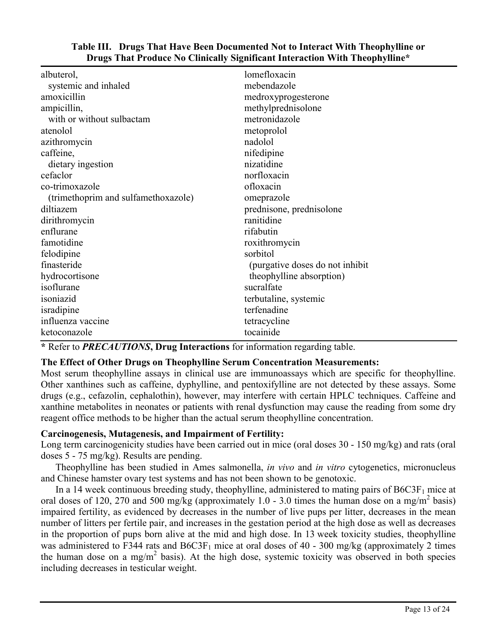### **Table III. Drugs That Have Been Documented Not to Interact With Theophylline or Drugs That Produce No Clinically Significant Interaction With Theophylline\***

| albuterol,                          | lomefloxacin                    |
|-------------------------------------|---------------------------------|
| systemic and inhaled                | mebendazole                     |
| amoxicillin                         | medroxyprogesterone             |
| ampicillin,                         | methylprednisolone              |
| with or without sulbactam           | metronidazole                   |
| atenolol                            | metoprolol                      |
| azithromycin                        | nadolol                         |
| caffeine,                           | nifedipine                      |
| dietary ingestion                   | nizatidine                      |
| cefaclor                            | norfloxacin                     |
| co-trimoxazole                      | ofloxacin                       |
| (trimethoprim and sulfamethoxazole) | omeprazole                      |
| diltiazem                           | prednisone, prednisolone        |
| dirithromycin                       | ranitidine                      |
| enflurane                           | rifabutin                       |
| famotidine                          | roxithromycin                   |
| felodipine                          | sorbitol                        |
| finasteride                         | (purgative doses do not inhibit |
| hydrocortisone                      | theophylline absorption)        |
| isoflurane                          | sucralfate                      |
| isoniazid                           | terbutaline, systemic           |
| isradipine                          | terfenadine                     |
| influenza vaccine                   | tetracycline                    |
| ketoconazole                        | tocainide                       |

**\*** Refer to *PRECAUTIONS***, Drug Interactions** for information regarding table.

# **The Effect of Other Drugs on Theophylline Serum Concentration Measurements:**

Most serum theophylline assays in clinical use are immunoassays which are specific for theophylline. Other xanthines such as caffeine, dyphylline, and pentoxifylline are not detected by these assays. Some drugs (e.g., cefazolin, cephalothin), however, may interfere with certain HPLC techniques. Caffeine and xanthine metabolites in neonates or patients with renal dysfunction may cause the reading from some dry reagent office methods to be higher than the actual serum theophylline concentration.

# **Carcinogenesis, Mutagenesis, and Impairment of Fertility:**

Long term carcinogenicity studies have been carried out in mice (oral doses 30 - 150 mg/kg) and rats (oral doses 5 - 75 mg/kg). Results are pending.

Theophylline has been studied in Ames salmonella, *in vivo* and *in vitro* cytogenetics, micronucleus and Chinese hamster ovary test systems and has not been shown to be genotoxic.

In a 14 week continuous breeding study, theophylline, administered to mating pairs of  $B6C3F<sub>1</sub>$  mice at oral doses of 120, 270 and 500 mg/kg (approximately 1.0 - 3.0 times the human dose on a mg/m<sup>2</sup> basis) impaired fertility, as evidenced by decreases in the number of live pups per litter, decreases in the mean number of litters per fertile pair, and increases in the gestation period at the high dose as well as decreases in the proportion of pups born alive at the mid and high dose. In 13 week toxicity studies, theophylline was administered to F344 rats and  $B6C3F_1$  mice at oral doses of 40 - 300 mg/kg (approximately 2 times the human dose on a mg/m<sup>2</sup> basis). At the high dose, systemic toxicity was observed in both species including decreases in testicular weight.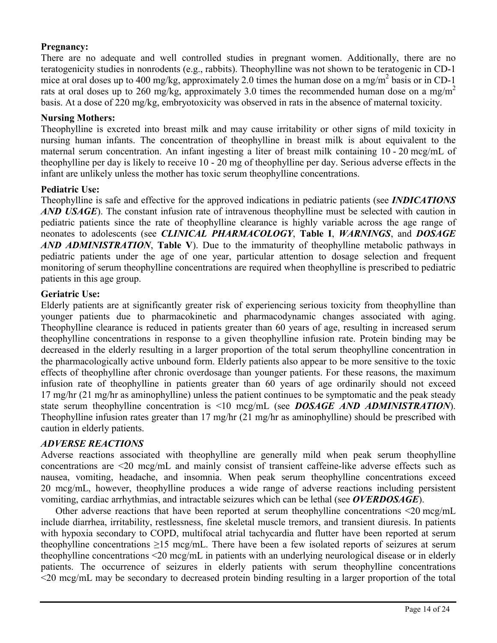# **Pregnancy:**

There are no adequate and well controlled studies in pregnant women. Additionally, there are no teratogenicity studies in nonrodents (e.g., rabbits). Theophylline was not shown to be teratogenic in CD-1 mice at oral doses up to 400 mg/kg, approximately 2.0 times the human dose on a mg/m<sup>2</sup> basis or in CD-1 rats at oral doses up to 260 mg/kg, approximately 3.0 times the recommended human dose on a mg/m<sup>2</sup> basis. At a dose of 220 mg/kg, embryotoxicity was observed in rats in the absence of maternal toxicity.

### **Nursing Mothers:**

Theophylline is excreted into breast milk and may cause irritability or other signs of mild toxicity in nursing human infants. The concentration of theophylline in breast milk is about equivalent to the maternal serum concentration. An infant ingesting a liter of breast milk containing 10 - 20 mcg/mL of theophylline per day is likely to receive 10 - 20 mg of theophylline per day. Serious adverse effects in the infant are unlikely unless the mother has toxic serum theophylline concentrations.

### **Pediatric Use:**

Theophylline is safe and effective for the approved indications in pediatric patients (see *INDICATIONS AND USAGE*). The constant infusion rate of intravenous theophylline must be selected with caution in pediatric patients since the rate of theophylline clearance is highly variable across the age range of neonates to adolescents (see *CLINICAL PHARMACOLOGY*, **Table I**, *WARNINGS*, and *DOSAGE AND ADMINISTRATION*, **Table V**). Due to the immaturity of theophylline metabolic pathways in pediatric patients under the age of one year, particular attention to dosage selection and frequent monitoring of serum theophylline concentrations are required when theophylline is prescribed to pediatric patients in this age group.

# **Geriatric Use:**

Elderly patients are at significantly greater risk of experiencing serious toxicity from theophylline than younger patients due to pharmacokinetic and pharmacodynamic changes associated with aging. Theophylline clearance is reduced in patients greater than 60 years of age, resulting in increased serum theophylline concentrations in response to a given theophylline infusion rate. Protein binding may be decreased in the elderly resulting in a larger proportion of the total serum theophylline concentration in the pharmacologically active unbound form. Elderly patients also appear to be more sensitive to the toxic effects of theophylline after chronic overdosage than younger patients. For these reasons, the maximum infusion rate of theophylline in patients greater than 60 years of age ordinarily should not exceed 17 mg/hr (21 mg/hr as aminophylline) unless the patient continues to be symptomatic and the peak steady state serum theophylline concentration is <10 mcg/mL (see *DOSAGE AND ADMINISTRATION*). Theophylline infusion rates greater than 17 mg/hr (21 mg/hr as aminophylline) should be prescribed with caution in elderly patients.

### *ADVERSE REACTIONS*

Adverse reactions associated with theophylline are generally mild when peak serum theophylline concentrations are <20 mcg/mL and mainly consist of transient caffeine-like adverse effects such as nausea, vomiting, headache, and insomnia. When peak serum theophylline concentrations exceed 20 mcg/mL, however, theophylline produces a wide range of adverse reactions including persistent vomiting, cardiac arrhythmias, and intractable seizures which can be lethal (see *OVERDOSAGE*).

Other adverse reactions that have been reported at serum theophylline concentrations <20 mcg/mL include diarrhea, irritability, restlessness, fine skeletal muscle tremors, and transient diuresis. In patients with hypoxia secondary to COPD, multifocal atrial tachycardia and flutter have been reported at serum theophylline concentrations  $\geq$ 15 mcg/mL. There have been a few isolated reports of seizures at serum theophylline concentrations <20 mcg/mL in patients with an underlying neurological disease or in elderly patients. The occurrence of seizures in elderly patients with serum theophylline concentrations <20 mcg/mL may be secondary to decreased protein binding resulting in a larger proportion of the total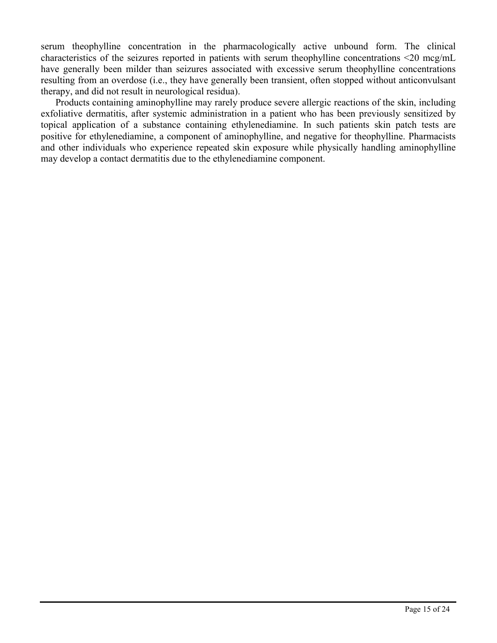serum theophylline concentration in the pharmacologically active unbound form. The clinical characteristics of the seizures reported in patients with serum theophylline concentrations <20 mcg/mL have generally been milder than seizures associated with excessive serum theophylline concentrations resulting from an overdose (i.e., they have generally been transient, often stopped without anticonvulsant therapy, and did not result in neurological residua).

Products containing aminophylline may rarely produce severe allergic reactions of the skin, including exfoliative dermatitis, after systemic administration in a patient who has been previously sensitized by topical application of a substance containing ethylenediamine. In such patients skin patch tests are positive for ethylenediamine, a component of aminophylline, and negative for theophylline. Pharmacists and other individuals who experience repeated skin exposure while physically handling aminophylline may develop a contact dermatitis due to the ethylenediamine component.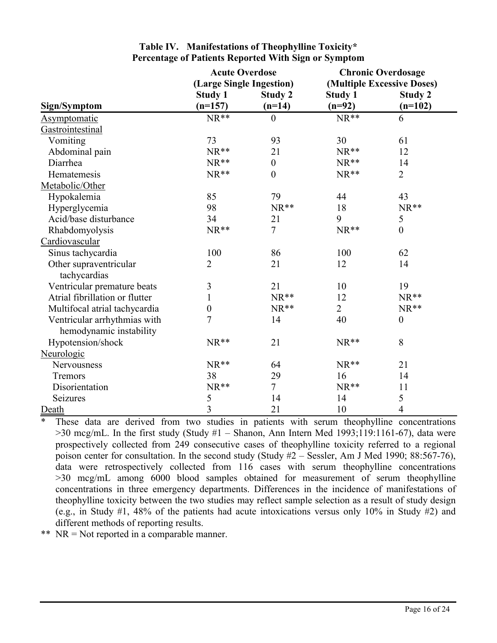|                                | <b>Acute Overdose</b>    |                  | <b>Chronic Overdosage</b>  |                  |
|--------------------------------|--------------------------|------------------|----------------------------|------------------|
|                                | (Large Single Ingestion) |                  | (Multiple Excessive Doses) |                  |
|                                | <b>Study 1</b>           | <b>Study 2</b>   | <b>Study 1</b>             | <b>Study 2</b>   |
| Sign/Symptom                   | $(n=157)$                | $(n=14)$         | $(n=92)$                   | $(n=102)$        |
| <b>Asymptomatic</b>            | $NR**$                   | $\boldsymbol{0}$ | $NR**$                     | 6                |
| Gastrointestinal               |                          |                  |                            |                  |
| Vomiting                       | 73                       | 93               | 30                         | 61               |
| Abdominal pain                 | NR**                     | 21               | $NR**$                     | 12               |
| Diarrhea                       | NR**                     | $\boldsymbol{0}$ | $NR**$                     | 14               |
| Hematemesis                    | $NR**$                   | $\boldsymbol{0}$ | $NR**$                     | $\overline{2}$   |
| Metabolic/Other                |                          |                  |                            |                  |
| Hypokalemia                    | 85                       | 79               | 44                         | 43               |
| Hyperglycemia                  | 98                       | $NR**$           | 18                         | $NR**$           |
| Acid/base disturbance          | 34                       | 21               | 9                          | 5                |
| Rhabdomyolysis                 | NR**                     | $\overline{7}$   | $NR**$                     | $\overline{0}$   |
| Cardiovascular                 |                          |                  |                            |                  |
| Sinus tachycardia              | 100                      | 86               | 100                        | 62               |
| Other supraventricular         | $\overline{2}$           | 21               | 12                         | 14               |
| tachycardias                   |                          |                  |                            |                  |
| Ventricular premature beats    | 3                        | 21               | 10                         | 19               |
| Atrial fibrillation or flutter | $\mathbf{1}$             | $NR**$           | 12                         | NR**             |
| Multifocal atrial tachycardia  | $\boldsymbol{0}$         | $NR**$           | $\overline{2}$             | $NR**$           |
| Ventricular arrhythmias with   | $\overline{7}$           | 14               | 40                         | $\boldsymbol{0}$ |
| hemodynamic instability        |                          |                  |                            |                  |
| Hypotension/shock              | NR**                     | 21               | $NR**$                     | $8\,$            |
| <b>Neurologic</b>              |                          |                  |                            |                  |
| Nervousness                    | NR**                     | 64               | $NR**$                     | 21               |
| Tremors                        | 38                       | 29               | 16                         | 14               |
| Disorientation                 | NR**                     | $\overline{7}$   | NR**                       | 11               |
| Seizures                       | 5                        | 14               | 14                         | 5                |
| Death                          | $\overline{3}$           | 21               | 10                         | $\overline{4}$   |

# **Table IV. Manifestations of Theophylline Toxicity\* Percentage of Patients Reported With Sign or Symptom**

\* These data are derived from two studies in patients with serum theophylline concentrations  $>$ 30 mcg/mL. In the first study (Study #1 – Shanon, Ann Intern Med 1993;119:1161-67), data were prospectively collected from 249 consecutive cases of theophylline toxicity referred to a regional poison center for consultation. In the second study (Study #2 – Sessler, Am J Med 1990; 88:567-76), data were retrospectively collected from 116 cases with serum theophylline concentrations >30 mcg/mL among 6000 blood samples obtained for measurement of serum theophylline concentrations in three emergency departments. Differences in the incidence of manifestations of theophylline toxicity between the two studies may reflect sample selection as a result of study design (e.g., in Study #1, 48% of the patients had acute intoxications versus only 10% in Study #2) and different methods of reporting results.

\*\* NR = Not reported in a comparable manner.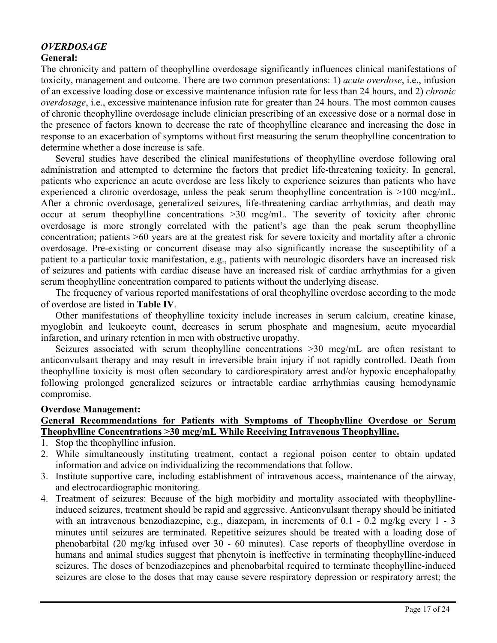# *OVERDOSAGE*

### **General:**

The chronicity and pattern of theophylline overdosage significantly influences clinical manifestations of toxicity, management and outcome. There are two common presentations: 1) *acute overdose*, i.e., infusion of an excessive loading dose or excessive maintenance infusion rate for less than 24 hours, and 2) *chronic overdosage*, i.e., excessive maintenance infusion rate for greater than 24 hours. The most common causes of chronic theophylline overdosage include clinician prescribing of an excessive dose or a normal dose in the presence of factors known to decrease the rate of theophylline clearance and increasing the dose in response to an exacerbation of symptoms without first measuring the serum theophylline concentration to determine whether a dose increase is safe.

Several studies have described the clinical manifestations of theophylline overdose following oral administration and attempted to determine the factors that predict life-threatening toxicity. In general, patients who experience an acute overdose are less likely to experience seizures than patients who have experienced a chronic overdosage, unless the peak serum theophylline concentration is >100 mcg/mL. After a chronic overdosage, generalized seizures, life-threatening cardiac arrhythmias, and death may occur at serum theophylline concentrations >30 mcg/mL. The severity of toxicity after chronic overdosage is more strongly correlated with the patient's age than the peak serum theophylline concentration; patients >60 years are at the greatest risk for severe toxicity and mortality after a chronic overdosage. Pre-existing or concurrent disease may also significantly increase the susceptibility of a patient to a particular toxic manifestation, e.g., patients with neurologic disorders have an increased risk of seizures and patients with cardiac disease have an increased risk of cardiac arrhythmias for a given serum theophylline concentration compared to patients without the underlying disease.

The frequency of various reported manifestations of oral theophylline overdose according to the mode of overdose are listed in **Table IV**.

Other manifestations of theophylline toxicity include increases in serum calcium, creatine kinase, myoglobin and leukocyte count, decreases in serum phosphate and magnesium, acute myocardial infarction, and urinary retention in men with obstructive uropathy.

Seizures associated with serum theophylline concentrations >30 mcg/mL are often resistant to anticonvulsant therapy and may result in irreversible brain injury if not rapidly controlled. Death from theophylline toxicity is most often secondary to cardiorespiratory arrest and/or hypoxic encephalopathy following prolonged generalized seizures or intractable cardiac arrhythmias causing hemodynamic compromise.

### **Overdose Management:**

### **General Recommendations for Patients with Symptoms of Theophylline Overdose or Serum Theophylline Concentrations >30 mcg/mL While Receiving Intravenous Theophylline.**

- 1. Stop the theophylline infusion.
- 2. While simultaneously instituting treatment, contact a regional poison center to obtain updated information and advice on individualizing the recommendations that follow.
- 3. Institute supportive care, including establishment of intravenous access, maintenance of the airway, and electrocardiographic monitoring.
- 4. Treatment of seizures: Because of the high morbidity and mortality associated with theophyllineinduced seizures, treatment should be rapid and aggressive. Anticonvulsant therapy should be initiated with an intravenous benzodiazepine, e.g., diazepam, in increments of 0.1 - 0.2 mg/kg every 1 - 3 minutes until seizures are terminated. Repetitive seizures should be treated with a loading dose of phenobarbital (20 mg/kg infused over 30 - 60 minutes). Case reports of theophylline overdose in humans and animal studies suggest that phenytoin is ineffective in terminating theophylline-induced seizures. The doses of benzodiazepines and phenobarbital required to terminate theophylline-induced seizures are close to the doses that may cause severe respiratory depression or respiratory arrest; the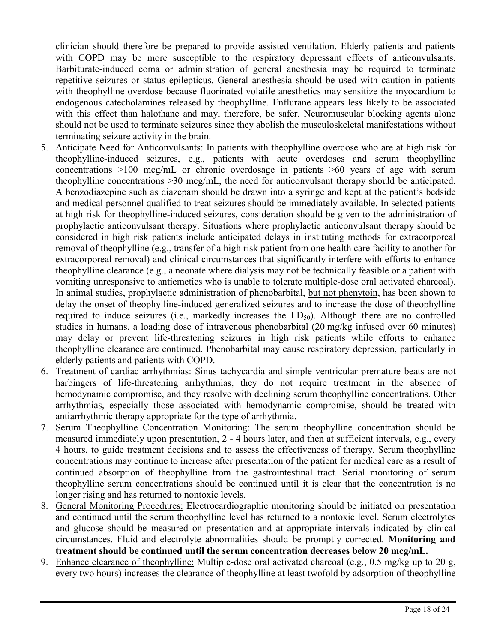clinician should therefore be prepared to provide assisted ventilation. Elderly patients and patients with COPD may be more susceptible to the respiratory depressant effects of anticonvulsants. Barbiturate-induced coma or administration of general anesthesia may be required to terminate repetitive seizures or status epilepticus. General anesthesia should be used with caution in patients with theophylline overdose because fluorinated volatile anesthetics may sensitize the myocardium to endogenous catecholamines released by theophylline. Enflurane appears less likely to be associated with this effect than halothane and may, therefore, be safer. Neuromuscular blocking agents alone should not be used to terminate seizures since they abolish the musculoskeletal manifestations without terminating seizure activity in the brain.

- 5. Anticipate Need for Anticonvulsants: In patients with theophylline overdose who are at high risk for theophylline-induced seizures, e.g., patients with acute overdoses and serum theophylline concentrations >100 mcg/mL or chronic overdosage in patients >60 years of age with serum theophylline concentrations >30 mcg/mL, the need for anticonvulsant therapy should be anticipated. A benzodiazepine such as diazepam should be drawn into a syringe and kept at the patient's bedside and medical personnel qualified to treat seizures should be immediately available. In selected patients at high risk for theophylline-induced seizures, consideration should be given to the administration of prophylactic anticonvulsant therapy. Situations where prophylactic anticonvulsant therapy should be considered in high risk patients include anticipated delays in instituting methods for extracorporeal removal of theophylline (e.g., transfer of a high risk patient from one health care facility to another for extracorporeal removal) and clinical circumstances that significantly interfere with efforts to enhance theophylline clearance (e.g., a neonate where dialysis may not be technically feasible or a patient with vomiting unresponsive to antiemetics who is unable to tolerate multiple-dose oral activated charcoal). In animal studies, prophylactic administration of phenobarbital, but not phenytoin, has been shown to delay the onset of theophylline-induced generalized seizures and to increase the dose of theophylline required to induce seizures (i.e., markedly increases the  $LD_{50}$ ). Although there are no controlled studies in humans, a loading dose of intravenous phenobarbital (20 mg/kg infused over 60 minutes) may delay or prevent life-threatening seizures in high risk patients while efforts to enhance theophylline clearance are continued. Phenobarbital may cause respiratory depression, particularly in elderly patients and patients with COPD.
- 6. Treatment of cardiac arrhythmias: Sinus tachycardia and simple ventricular premature beats are not harbingers of life-threatening arrhythmias, they do not require treatment in the absence of hemodynamic compromise, and they resolve with declining serum theophylline concentrations. Other arrhythmias, especially those associated with hemodynamic compromise, should be treated with antiarrhythmic therapy appropriate for the type of arrhythmia.
- 7. Serum Theophylline Concentration Monitoring: The serum theophylline concentration should be measured immediately upon presentation, 2 - 4 hours later, and then at sufficient intervals, e.g., every 4 hours, to guide treatment decisions and to assess the effectiveness of therapy. Serum theophylline concentrations may continue to increase after presentation of the patient for medical care as a result of continued absorption of theophylline from the gastrointestinal tract. Serial monitoring of serum theophylline serum concentrations should be continued until it is clear that the concentration is no longer rising and has returned to nontoxic levels.
- 8. General Monitoring Procedures: Electrocardiographic monitoring should be initiated on presentation and continued until the serum theophylline level has returned to a nontoxic level. Serum electrolytes and glucose should be measured on presentation and at appropriate intervals indicated by clinical circumstances. Fluid and electrolyte abnormalities should be promptly corrected. **Monitoring and treatment should be continued until the serum concentration decreases below 20 mcg/mL.**
- 9. Enhance clearance of theophylline: Multiple-dose oral activated charcoal (e.g., 0.5 mg/kg up to 20 g, every two hours) increases the clearance of theophylline at least twofold by adsorption of theophylline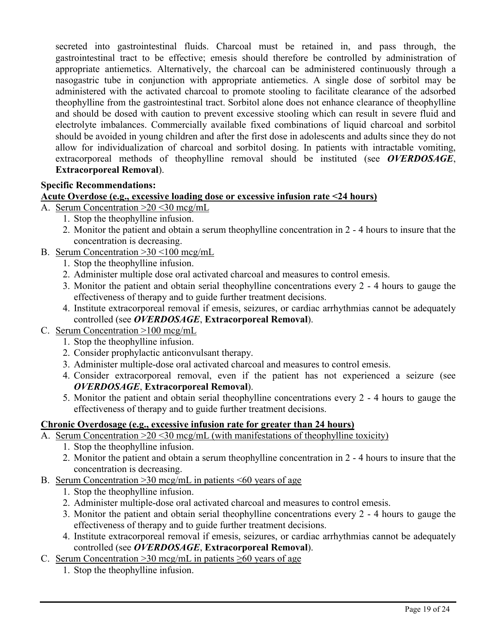secreted into gastrointestinal fluids. Charcoal must be retained in, and pass through, the gastrointestinal tract to be effective; emesis should therefore be controlled by administration of appropriate antiemetics. Alternatively, the charcoal can be administered continuously through a nasogastric tube in conjunction with appropriate antiemetics. A single dose of sorbitol may be administered with the activated charcoal to promote stooling to facilitate clearance of the adsorbed theophylline from the gastrointestinal tract. Sorbitol alone does not enhance clearance of theophylline and should be dosed with caution to prevent excessive stooling which can result in severe fluid and electrolyte imbalances. Commercially available fixed combinations of liquid charcoal and sorbitol should be avoided in young children and after the first dose in adolescents and adults since they do not allow for individualization of charcoal and sorbitol dosing. In patients with intractable vomiting, extracorporeal methods of theophylline removal should be instituted (see *OVERDOSAGE*, **Extracorporeal Removal**).

# **Specific Recommendations:**

# **Acute Overdose (e.g., excessive loading dose or excessive infusion rate <24 hours)**

- A. Serum Concentration >20 <30 mcg/mL
	- 1. Stop the theophylline infusion.
	- 2. Monitor the patient and obtain a serum theophylline concentration in 2 4 hours to insure that the concentration is decreasing.
- B. Serum Concentration >30 <100 mcg/mL
	- 1. Stop the theophylline infusion.
	- 2. Administer multiple dose oral activated charcoal and measures to control emesis.
	- 3. Monitor the patient and obtain serial theophylline concentrations every 2 4 hours to gauge the effectiveness of therapy and to guide further treatment decisions.
	- 4. Institute extracorporeal removal if emesis, seizures, or cardiac arrhythmias cannot be adequately controlled (see *OVERDOSAGE*, **Extracorporeal Removal**).
- C. Serum Concentration >100 mcg/mL
	- 1. Stop the theophylline infusion.
	- 2. Consider prophylactic anticonvulsant therapy.
	- 3. Administer multiple-dose oral activated charcoal and measures to control emesis.
	- 4. Consider extracorporeal removal, even if the patient has not experienced a seizure (see *OVERDOSAGE*, **Extracorporeal Removal**).
	- 5. Monitor the patient and obtain serial theophylline concentrations every 2 4 hours to gauge the effectiveness of therapy and to guide further treatment decisions.

# **Chronic Overdosage (e.g., excessive infusion rate for greater than 24 hours)**

- A. Serum Concentration > 20 < 30 mcg/mL (with manifestations of theophylline toxicity)
	- 1. Stop the theophylline infusion.
	- 2. Monitor the patient and obtain a serum theophylline concentration in 2 4 hours to insure that the concentration is decreasing.
- B. Serum Concentration >30 mcg/mL in patients <60 years of age
	- 1. Stop the theophylline infusion.
	- 2. Administer multiple-dose oral activated charcoal and measures to control emesis.
	- 3. Monitor the patient and obtain serial theophylline concentrations every 2 4 hours to gauge the effectiveness of therapy and to guide further treatment decisions.
	- 4. Institute extracorporeal removal if emesis, seizures, or cardiac arrhythmias cannot be adequately controlled (see *OVERDOSAGE*, **Extracorporeal Removal**).
- C. Serum Concentration >30 mcg/mL in patients  $\geq 60$  years of age
	- 1. Stop the theophylline infusion.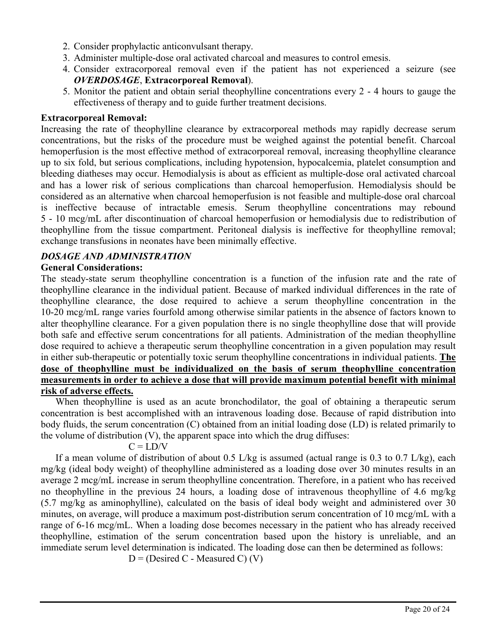- 2. Consider prophylactic anticonvulsant therapy.
- 3. Administer multiple-dose oral activated charcoal and measures to control emesis.
- 4. Consider extracorporeal removal even if the patient has not experienced a seizure (see *OVERDOSAGE*, **Extracorporeal Removal**).
- 5. Monitor the patient and obtain serial theophylline concentrations every 2 4 hours to gauge the effectiveness of therapy and to guide further treatment decisions.

### **Extracorporeal Removal:**

Increasing the rate of theophylline clearance by extracorporeal methods may rapidly decrease serum concentrations, but the risks of the procedure must be weighed against the potential benefit. Charcoal hemoperfusion is the most effective method of extracorporeal removal, increasing theophylline clearance up to six fold, but serious complications, including hypotension, hypocalcemia, platelet consumption and bleeding diatheses may occur. Hemodialysis is about as efficient as multiple-dose oral activated charcoal and has a lower risk of serious complications than charcoal hemoperfusion. Hemodialysis should be considered as an alternative when charcoal hemoperfusion is not feasible and multiple-dose oral charcoal is ineffective because of intractable emesis. Serum theophylline concentrations may rebound 5 - 10 mcg/mL after discontinuation of charcoal hemoperfusion or hemodialysis due to redistribution of theophylline from the tissue compartment. Peritoneal dialysis is ineffective for theophylline removal; exchange transfusions in neonates have been minimally effective.

### *DOSAGE AND ADMINISTRATION*

### **General Considerations:**

The steady-state serum theophylline concentration is a function of the infusion rate and the rate of theophylline clearance in the individual patient. Because of marked individual differences in the rate of theophylline clearance, the dose required to achieve a serum theophylline concentration in the 10-20 mcg/mL range varies fourfold among otherwise similar patients in the absence of factors known to alter theophylline clearance. For a given population there is no single theophylline dose that will provide both safe and effective serum concentrations for all patients. Administration of the median theophylline dose required to achieve a therapeutic serum theophylline concentration in a given population may result in either sub-therapeutic or potentially toxic serum theophylline concentrations in individual patients. **The dose of theophylline must be individualized on the basis of serum theophylline concentration measurements in order to achieve a dose that will provide maximum potential benefit with minimal risk of adverse effects.**

When theophylline is used as an acute bronchodilator, the goal of obtaining a therapeutic serum concentration is best accomplished with an intravenous loading dose. Because of rapid distribution into body fluids, the serum concentration (C) obtained from an initial loading dose (LD) is related primarily to the volume of distribution (V), the apparent space into which the drug diffuses:

# $C = L D/V$

If a mean volume of distribution of about 0.5 L/kg is assumed (actual range is 0.3 to 0.7 L/kg), each mg/kg (ideal body weight) of theophylline administered as a loading dose over 30 minutes results in an average 2 mcg/mL increase in serum theophylline concentration. Therefore, in a patient who has received no theophylline in the previous 24 hours, a loading dose of intravenous theophylline of 4.6 mg/kg (5.7 mg/kg as aminophylline), calculated on the basis of ideal body weight and administered over 30 minutes, on average, will produce a maximum post-distribution serum concentration of 10 mcg/mL with a range of 6-16 mcg/mL. When a loading dose becomes necessary in the patient who has already received theophylline, estimation of the serum concentration based upon the history is unreliable, and an immediate serum level determination is indicated. The loading dose can then be determined as follows:

 $D = (Desired C - Measured C) (V)$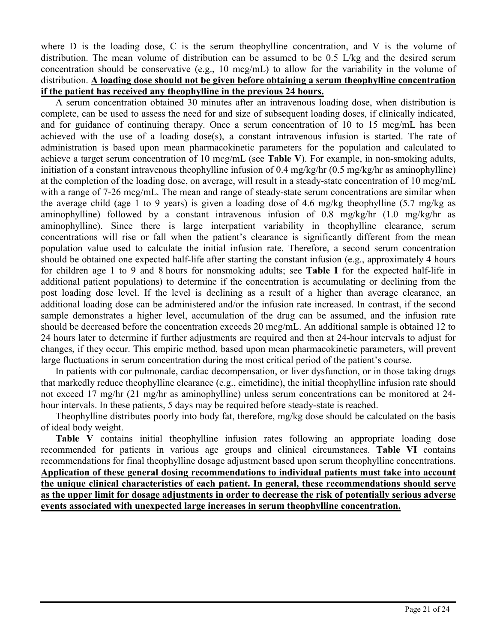where D is the loading dose, C is the serum theophylline concentration, and V is the volume of distribution. The mean volume of distribution can be assumed to be 0.5 L/kg and the desired serum concentration should be conservative (e.g., 10 mcg/mL) to allow for the variability in the volume of distribution. **A loading dose should not be given before obtaining a serum theophylline concentration if the patient has received any theophylline in the previous 24 hours.**

A serum concentration obtained 30 minutes after an intravenous loading dose, when distribution is complete, can be used to assess the need for and size of subsequent loading doses, if clinically indicated, and for guidance of continuing therapy. Once a serum concentration of 10 to 15 mcg/mL has been achieved with the use of a loading dose(s), a constant intravenous infusion is started. The rate of administration is based upon mean pharmacokinetic parameters for the population and calculated to achieve a target serum concentration of 10 mcg/mL (see **Table V**). For example, in non-smoking adults, initiation of a constant intravenous theophylline infusion of 0.4 mg/kg/hr (0.5 mg/kg/hr as aminophylline) at the completion of the loading dose, on average, will result in a steady-state concentration of 10 mcg/mL with a range of 7-26 mcg/mL. The mean and range of steady-state serum concentrations are similar when the average child (age 1 to 9 years) is given a loading dose of 4.6 mg/kg theophylline (5.7 mg/kg as aminophylline) followed by a constant intravenous infusion of 0.8 mg/kg/hr (1.0 mg/kg/hr as aminophylline). Since there is large interpatient variability in theophylline clearance, serum concentrations will rise or fall when the patient's clearance is significantly different from the mean population value used to calculate the initial infusion rate. Therefore, a second serum concentration should be obtained one expected half-life after starting the constant infusion (e.g., approximately 4 hours for children age 1 to 9 and 8 hours for nonsmoking adults; see **Table I** for the expected half-life in additional patient populations) to determine if the concentration is accumulating or declining from the post loading dose level. If the level is declining as a result of a higher than average clearance, an additional loading dose can be administered and/or the infusion rate increased. In contrast, if the second sample demonstrates a higher level, accumulation of the drug can be assumed, and the infusion rate should be decreased before the concentration exceeds 20 mcg/mL. An additional sample is obtained 12 to 24 hours later to determine if further adjustments are required and then at 24-hour intervals to adjust for changes, if they occur. This empiric method, based upon mean pharmacokinetic parameters, will prevent large fluctuations in serum concentration during the most critical period of the patient's course.

In patients with cor pulmonale, cardiac decompensation, or liver dysfunction, or in those taking drugs that markedly reduce theophylline clearance (e.g., cimetidine), the initial theophylline infusion rate should not exceed 17 mg/hr (21 mg/hr as aminophylline) unless serum concentrations can be monitored at 24 hour intervals. In these patients, 5 days may be required before steady-state is reached.

Theophylline distributes poorly into body fat, therefore, mg/kg dose should be calculated on the basis of ideal body weight.

**Table V** contains initial theophylline infusion rates following an appropriate loading dose recommended for patients in various age groups and clinical circumstances. **Table VI** contains recommendations for final theophylline dosage adjustment based upon serum theophylline concentrations. **Application of these general dosing recommendations to individual patients must take into account the unique clinical characteristics of each patient. In general, these recommendations should serve as the upper limit for dosage adjustments in order to decrease the risk of potentially serious adverse events associated with unexpected large increases in serum theophylline concentration.**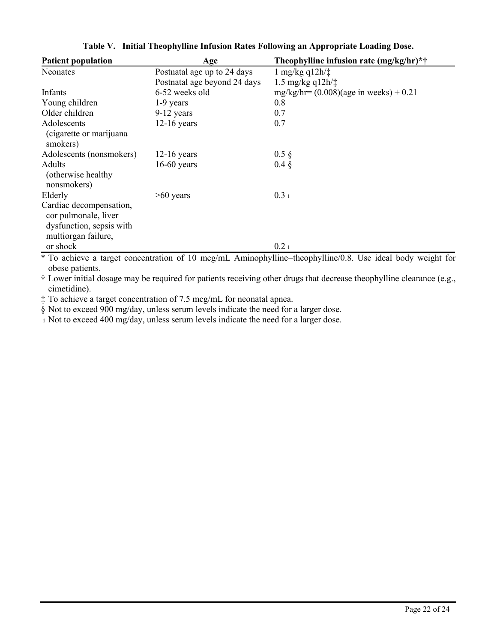| <b>Patient population</b>                       | Age                          | Theophylline infusion rate (mg/kg/hr)*†   |
|-------------------------------------------------|------------------------------|-------------------------------------------|
| <b>Neonates</b>                                 | Postnatal age up to 24 days  | $1 \text{ mg/kg}$ q $12h/\ddagger$        |
|                                                 | Postnatal age beyond 24 days | 1.5 mg/kg q12h/ $\ddagger$                |
| Infants                                         | 6-52 weeks old               | $mg/kg/hr = (0.008)(age in weeks) + 0.21$ |
| Young children                                  | 1-9 years                    | 0.8                                       |
| Older children                                  | 9-12 years                   | 0.7                                       |
| Adolescents                                     | $12-16$ years                | 0.7                                       |
| (cigarette or marijuana)<br>smokers)            |                              |                                           |
| Adolescents (nonsmokers)                        | $12-16$ years                | $0.5 \S$                                  |
| Adults<br>(otherwise healthy)<br>nonsmokers)    | $16-60$ years                | $0.4 \; \S$                               |
| Elderly                                         | $>60$ years                  | 0.31                                      |
| Cardiac decompensation,<br>cor pulmonale, liver |                              |                                           |
| dysfunction, sepsis with<br>multiorgan failure, |                              |                                           |
| or shock                                        |                              | 0.21                                      |

**Table V. Initial Theophylline Infusion Rates Following an Appropriate Loading Dose.**

\* To achieve a target concentration of 10 mcg/mL Aminophylline=theophylline/0.8. Use ideal body weight for obese patients.

† Lower initial dosage may be required for patients receiving other drugs that decrease theophylline clearance (e.g., cimetidine).

‡ To achieve a target concentration of 7.5 mcg/mL for neonatal apnea.

§ Not to exceed 900 mg/day, unless serum levels indicate the need for a larger dose.

ı Not to exceed 400 mg/day, unless serum levels indicate the need for a larger dose.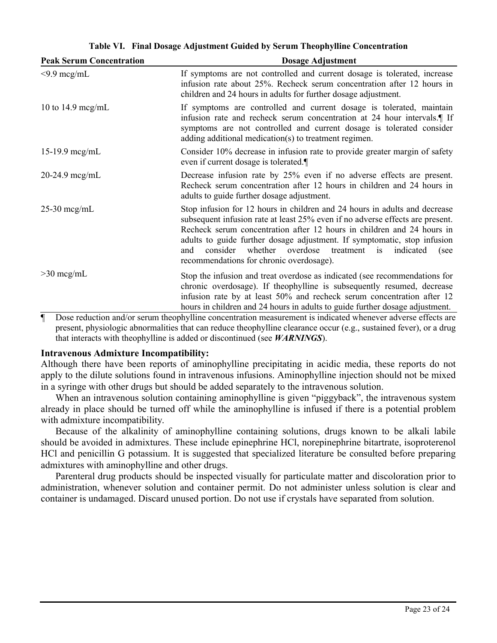| <b>Peak Serum Concentration</b> | Dosage Adjustment                                                                                                                                                                                                                                                                                                                                                                                                                            |
|---------------------------------|----------------------------------------------------------------------------------------------------------------------------------------------------------------------------------------------------------------------------------------------------------------------------------------------------------------------------------------------------------------------------------------------------------------------------------------------|
| $\leq$ 9.9 mcg/mL               | If symptoms are not controlled and current dosage is tolerated, increase<br>infusion rate about 25%. Recheck serum concentration after 12 hours in<br>children and 24 hours in adults for further dosage adjustment.                                                                                                                                                                                                                         |
| 10 to 14.9 mcg/mL               | If symptoms are controlled and current dosage is tolerated, maintain<br>infusion rate and recheck serum concentration at 24 hour intervals.¶ If<br>symptoms are not controlled and current dosage is tolerated consider<br>adding additional medication(s) to treatment regimen.                                                                                                                                                             |
| $15-19.9$ mcg/mL                | Consider 10% decrease in infusion rate to provide greater margin of safety<br>even if current dosage is tolerated.                                                                                                                                                                                                                                                                                                                           |
| $20-24.9$ mcg/mL                | Decrease infusion rate by 25% even if no adverse effects are present.<br>Recheck serum concentration after 12 hours in children and 24 hours in<br>adults to guide further dosage adjustment.                                                                                                                                                                                                                                                |
| $25-30$ mcg/mL                  | Stop infusion for 12 hours in children and 24 hours in adults and decrease<br>subsequent infusion rate at least 25% even if no adverse effects are present.<br>Recheck serum concentration after 12 hours in children and 24 hours in<br>adults to guide further dosage adjustment. If symptomatic, stop infusion<br>whether<br>consider<br>overdose<br>treatment is<br>and<br>indicated<br>(see<br>recommendations for chronic overdosage). |
| $>30$ mcg/mL                    | Stop the infusion and treat overdose as indicated (see recommendations for<br>chronic overdosage). If theophylline is subsequently resumed, decrease<br>infusion rate by at least 50% and recheck serum concentration after 12<br>hours in children and 24 hours in adults to guide further dosage adjustment.<br>I Deep ushinton and/ou committee outsilling concentration measurement is indicated when even advance offects are           |

#### **Table VI. Final Dosage Adjustment Guided by Serum Theophylline Concentration**

Dose reduction and/or serum theophylline concentration measurement is indicated whenever adverse effects are present, physiologic abnormalities that can reduce theophylline clearance occur (e.g., sustained fever), or a drug that interacts with theophylline is added or discontinued (see *WARNINGS*).

#### **Intravenous Admixture Incompatibility:**

Although there have been reports of aminophylline precipitating in acidic media, these reports do not apply to the dilute solutions found in intravenous infusions. Aminophylline injection should not be mixed in a syringe with other drugs but should be added separately to the intravenous solution.

When an intravenous solution containing aminophylline is given "piggyback", the intravenous system already in place should be turned off while the aminophylline is infused if there is a potential problem with admixture incompatibility.

Because of the alkalinity of aminophylline containing solutions, drugs known to be alkali labile should be avoided in admixtures. These include epinephrine HCl, norepinephrine bitartrate, isoproterenol HCl and penicillin G potassium. It is suggested that specialized literature be consulted before preparing admixtures with aminophylline and other drugs.

Parenteral drug products should be inspected visually for particulate matter and discoloration prior to administration, whenever solution and container permit. Do not administer unless solution is clear and container is undamaged. Discard unused portion. Do not use if crystals have separated from solution.